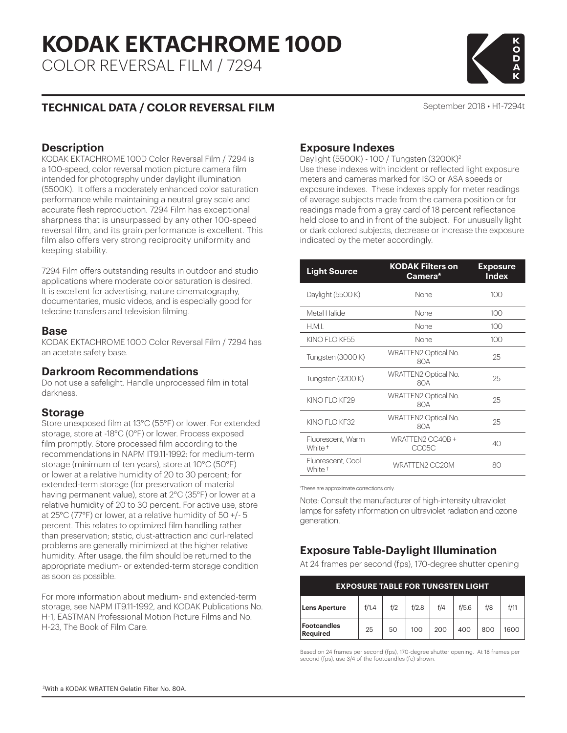# **KODAK EKTACHROME 100D**

COLOR REVERSAL FILM / 7294

# K<br>D<br>D

# **TECHNICAL DATA / COLOR REVERSAL FILM**

September 2018 • H1-7294t

#### **Description**

KODAK EKTACHROME 100D Color Reversal Film / 7294 is a 100-speed, color reversal motion picture camera film intended for photography under daylight illumination (5500K). It offers a moderately enhanced color saturation performance while maintaining a neutral gray scale and accurate flesh reproduction. 7294 Film has exceptional sharpness that is unsurpassed by any other 100-speed reversal film, and its grain performance is excellent. This film also offers very strong reciprocity uniformity and keeping stability.

7294 Film offers outstanding results in outdoor and studio applications where moderate color saturation is desired. It is excellent for advertising, nature cinematography, documentaries, music videos, and is especially good for telecine transfers and television filming.

#### **Base**

KODAK EKTACHROME 100D Color Reversal Film / 7294 has an acetate safety base.

#### **Darkroom Recommendations**

Do not use a safelight. Handle unprocessed film in total darkness.

#### **Storage**

Store unexposed film at 13°C (55°F) or lower. For extended storage, store at -18°C (0°F) or lower. Process exposed film promptly. Store processed film according to the recommendations in NAPM IT9.11-1992: for medium-term storage (minimum of ten years), store at 10°C (50°F) or lower at a relative humidity of 20 to 30 percent; for extended-term storage (for preservation of material having permanent value), store at 2°C (35°F) or lower at a relative humidity of 20 to 30 percent. For active use, store at 25°C (77°F) or lower, at a relative humidity of 50 +/- 5 percent. This relates to optimized film handling rather than preservation; static, dust-attraction and curl-related problems are generally minimized at the higher relative humidity. After usage, the film should be returned to the appropriate medium- or extended-term storage condition as soon as possible.

For more information about medium- and extended-term storage, see NAPM IT9.11-1992, and KODAK Publications No. H-1, EASTMAN Professional Motion Picture Films and No. H-23, The Book of Film Care.

# **Exposure Indexes**

Daylight (5500K) - 100 / Tungsten (3200K)2 Use these indexes with incident or reflected light exposure meters and cameras marked for ISO or ASA speeds or exposure indexes. These indexes apply for meter readings of average subjects made from the camera position or for readings made from a gray card of 18 percent reflectance held close to and in front of the subject. For unusually light or dark colored subjects, decrease or increase the exposure indicated by the meter accordingly.

| <b>Light Source</b>                     | <b>KODAK Filters on</b><br>Camera* | <b>Exposure</b><br><b>Index</b> |  |  |
|-----------------------------------------|------------------------------------|---------------------------------|--|--|
| Daylight (5500 K)                       | None                               | 100                             |  |  |
| Metal Halide                            | None                               | 100                             |  |  |
| H.M.I.                                  | None                               | 100                             |  |  |
| KINO FLO KF55                           | None                               | 100                             |  |  |
| Tungsten (3000 K)                       | WRATTEN2 Optical No.<br>80A        | 25                              |  |  |
| Tungsten (3200 K)                       | <b>WRATTEN2 Optical No.</b><br>80A | 25                              |  |  |
| KINO FI O KF29                          | <b>WRATTEN2 Optical No.</b><br>80A | 25                              |  |  |
| KINO FI O KF32                          | <b>WRATTEN2 Optical No.</b><br>80A | 25                              |  |  |
| Fluorescent, Warm<br>White <sup>+</sup> | WRATTEN2 CC40B +<br>CC05C          | 40                              |  |  |
| Fluorescent, Cool<br>White <sup>+</sup> | WRATTEN2 CC20M                     | 80                              |  |  |

1 These are approximate corrections only.

Note: Consult the manufacturer of high-intensity ultraviolet lamps for safety information on ultraviolet radiation and ozone generation.

# **Exposure Table-Daylight Illumination**

At 24 frames per second (fps), 170-degree shutter opening

| <b>EXPOSURE TABLE FOR TUNGSTEN LIGHT</b> |       |     |       |     |       |     |      |  |
|------------------------------------------|-------|-----|-------|-----|-------|-----|------|--|
| <b>Lens Aperture</b>                     | f/1.4 | f/2 | f/2.8 | f/4 | f/5.6 | f/8 | f/11 |  |
| Footcandles<br>Required                  | 25    | 50  | 100   | 200 | 400   | 800 | 1600 |  |

Based on 24 frames per second (fps), 170-degree shutter opening. At 18 frames per second (fps), use 3/4 of the footcandles (fc) shown.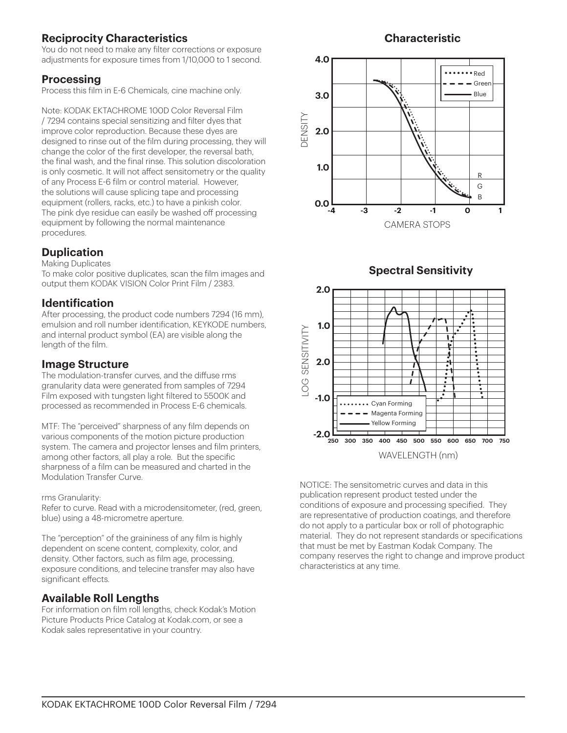# **Reciprocity Characteristics**

You do not need to make any filter corrections or exposure adjustments for exposure times from 1/10,000 to 1 second.

#### **Processing**

Process this film in E-6 Chemicals, cine machine only.

Note: KODAK EKTACHROME 100D Color Reversal Film / 7294 contains special sensitizing and filter dyes that improve color reproduction. Because these dyes are designed to rinse out of the film during processing, they will change the color of the first developer, the reversal bath, the final wash, and the final rinse. This solution discoloration is only cosmetic. It will not affect sensitometry or the quality of any Process E-6 film or control material. However, the solutions will cause splicing tape and processing equipment (rollers, racks, etc.) to have a pinkish color. The pink dye residue can easily be washed off processing equipment by following the normal maintenance procedures.

## **Duplication**

Making Duplicates

To make color positive duplicates, scan the film images and output them KODAK VISION Color Print Film / 2383.

#### **Identification**

After processing, the product code numbers 7294 (16 mm), emulsion and roll number identification, KEYKODE numbers, and internal product symbol (EA) are visible along the length of the film.

#### **Image Structure**

The modulation-transfer curves, and the diffuse rms granularity data were generated from samples of 7294 Film exposed with tungsten light filtered to 5500K and processed as recommended in Process E-6 chemicals.

MTF: The "perceived" sharpness of any film depends on various components of the motion picture production system. The camera and projector lenses and film printers, among other factors, all play a role. But the specific sharpness of a film can be measured and charted in the Modulation Transfer Curve.

#### rms Granularity:

Refer to curve. Read with a microdensitometer, (red, green, blue) using a 48-micrometre aperture.

The "perception" of the graininess of any film is highly dependent on scene content, complexity, color, and density. Other factors, such as film age, processing, exposure conditions, and telecine transfer may also have significant effects.

## **Available Roll Lengths**

For information on film roll lengths, check Kodak's Motion Picture Products Price Catalog at Kodak.com, or see a Kodak sales representative in your country.

## **Characteristic**







NOTICE: The sensitometric curves and data in this publication represent product tested under the conditions of exposure and processing specified. They are representative of production coatings, and therefore do not apply to a particular box or roll of photographic material. They do not represent standards or specifications that must be met by Eastman Kodak Company. The company reserves the right to change and improve product characteristics at any time.